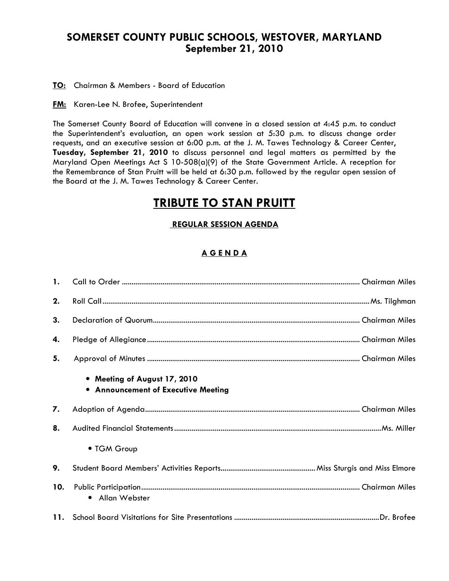## SOMERSET COUNTY PUBLIC SCHOOLS, WESTOVER, MARYLAND September 21, 2010

TO: Chairman & Members - Board of Education

**FM:** Karen-Lee N. Brofee, Superintendent

The Somerset County Board of Education will convene in a closed session at 4:45 p.m. to conduct the Superintendent's evaluation, an open work session at 5:30 p.m. to discuss change order requests, and an executive session at 6:00 p.m. at the J. M. Tawes Technology & Career Center, Tuesday, September 21, 2010 to discuss personnel and legal matters as permitted by the Maryland Open Meetings Act S 10-508(a)(9) of the State Government Article. A reception for the Remembrance of Stan Pruitt will be held at 6:30 p.m. followed by the regular open session of the Board at the J. M. Tawes Technology & Career Center.

# TRIBUTE TO STAN PRUITT

#### REGULAR SESSION AGENDA

### A G E N D A

| 2.  |                                                                     |
|-----|---------------------------------------------------------------------|
| 3.  |                                                                     |
| 4.  |                                                                     |
| 5.  |                                                                     |
|     | • Meeting of August 17, 2010<br>• Announcement of Executive Meeting |
| 7.  |                                                                     |
| 8.  |                                                                     |
|     | • TGM Group                                                         |
| 9.  |                                                                     |
| 10. | • Allan Webster                                                     |
|     |                                                                     |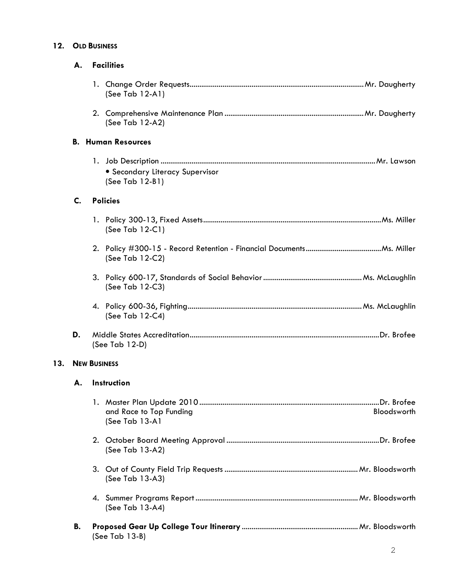#### 12. OLD BUSINESS

|     | А.                  | <b>Facilities</b>                                           |  |  |  |
|-----|---------------------|-------------------------------------------------------------|--|--|--|
|     |                     | (See Tab $12-A1$ )                                          |  |  |  |
|     |                     | (See Tab 12-A2)                                             |  |  |  |
|     |                     | <b>B. Human Resources</b>                                   |  |  |  |
|     |                     | <b>• Secondary Literacy Supervisor</b><br>$(See Tab 12-B1)$ |  |  |  |
|     | C.                  | <b>Policies</b>                                             |  |  |  |
|     |                     | (See Tab $12-C1$ )                                          |  |  |  |
|     |                     | (See Tab 12-C2)                                             |  |  |  |
|     |                     | (See Tab 12-C3)                                             |  |  |  |
|     |                     | (See Tab 12-C4)                                             |  |  |  |
|     | D.                  | (See Tab $12-D$ )                                           |  |  |  |
| 13. | <b>NEW BUSINESS</b> |                                                             |  |  |  |
|     | А.                  | Instruction                                                 |  |  |  |
|     |                     | and Race to Top Funding<br>Bloodsworth<br>(See Tab 13-A1    |  |  |  |
|     |                     | (See Tab 13-A2)                                             |  |  |  |
|     |                     | (See Tab 13-A3)                                             |  |  |  |
|     |                     | (See Tab 13-A4)                                             |  |  |  |
|     | В.                  | (See Tab 13-B)                                              |  |  |  |